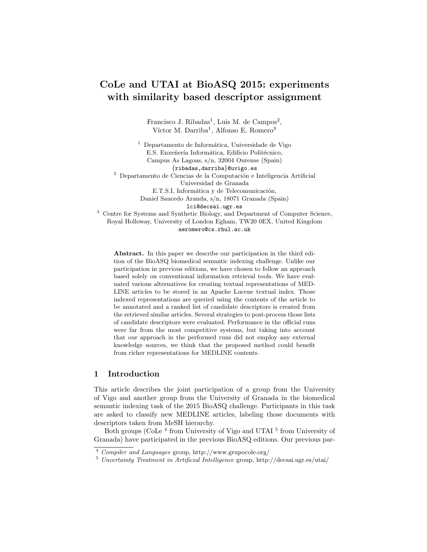# CoLe and UTAI at BioASQ 2015: experiments with similarity based descriptor assignment

Francisco J. Ribadas<sup>1</sup>, Luis M. de Campos<sup>2</sup>, Víctor M. Darriba<sup>1</sup>, Alfonso E. Romero<sup>3</sup>

 $<sup>1</sup>$  Departamento de Informática, Universidade de Vigo</sup> E.S. Enxeñería Informática, Edificio Politécnico, Campus As Lagoas, s/n, 32004 Ourense (Spain) {ribadas,darriba}@uvigo.es  $^{\rm 2}$  Departamento de Ciencias de la Computación e Inteligencia Artificial Universidad de Granada E.T.S.I. Informática y de Telecomunicación, Daniel Saucedo Aranda, s/n, 18071 Granada (Spain) lci@decsai.ugr.es <sup>3</sup> Centre for Systems and Synthetic Biology, and Department of Computer Science,

Royal Holloway, University of London Egham, TW20 0EX, United Kingdom aeromero@cs.rhul.ac.uk

Abstract. In this paper we describe our participation in the third edition of the BioASQ biomedical semantic indexing challenge. Unlike our participation in previous editions, we have chosen to follow an approach based solely on conventional information retrieval tools. We have evaluated various alternatives for creating textual representations of MED-LINE articles to be stored in an Apache Lucene textual index. Those indexed representations are queried using the contents of the article to be annotated and a ranked list of candidate descriptors is created from the retrieved similar articles. Several strategies to post-process those lists of candidate descriptors were evaluated. Performance in the official runs were far from the most competitive systems, but taking into account that our approach in the performed runs did not employ any external knowledge sources, we think that the proposed method could benefit from richer representations for MEDLINE contents.

# 1 Introduction

This article describes the joint participation of a group from the University of Vigo and another group from the University of Granada in the biomedical semantic indexing task of the 2015 BioASQ challenge. Participants in this task are asked to classify new MEDLINE articles, labeling those documents with descriptors taken from MeSH hierarchy.

Both groups (CoLe<sup>4</sup> from University of Vigo and UTAI<sup>5</sup> from University of Granada) have participated in the previous BioASQ editions. Our previous par-

<sup>4</sup> Compiler and Languages group, http://www.grupocole.org/

<sup>5</sup> Uncertainty Treatment in Artificial Intelligence group, http://decsai.ugr.es/utai/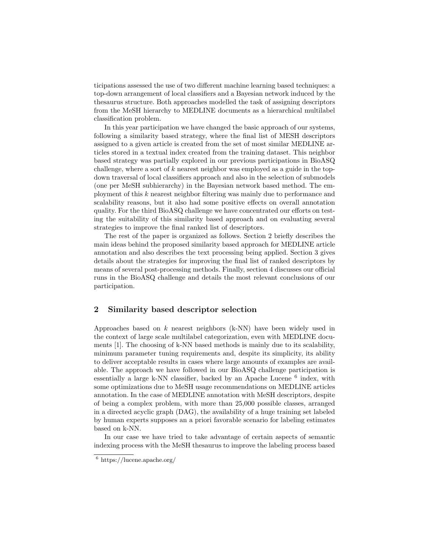ticipations assessed the use of two different machine learning based techniques: a top-down arrangement of local classifiers and a Bayesian network induced by the thesaurus structure. Both approaches modelled the task of assigning descriptors from the MeSH hierarchy to MEDLINE documents as a hierarchical multilabel classification problem.

In this year participation we have changed the basic approach of our systems, following a similarity based strategy, where the final list of MESH descriptors assigned to a given article is created from the set of most similar MEDLINE articles stored in a textual index created from the training dataset. This neighbor based strategy was partially explored in our previous participations in BioASQ challenge, where a sort of  $k$  nearest neighbor was employed as a guide in the topdown traversal of local classifiers approach and also in the selection of submodels (one per MeSH subhierarchy) in the Bayesian network based method. The employment of this k nearest neighbor filtering was mainly due to performance and scalability reasons, but it also had some positive effects on overall annotation quality. For the third BioASQ challenge we have concentrated our efforts on testing the suitability of this similarity based approach and on evaluating several strategies to improve the final ranked list of descriptors.

The rest of the paper is organized as follows. Section 2 briefly describes the main ideas behind the proposed similarity based approach for MEDLINE article annotation and also describes the text processing being applied. Section 3 gives details about the strategies for improving the final list of ranked descriptors by means of several post-processing methods. Finally, section 4 discusses our official runs in the BioASQ challenge and details the most relevant conclusions of our participation.

### 2 Similarity based descriptor selection

Approaches based on  $k$  nearest neighbors (k-NN) have been widely used in the context of large scale multilabel categorization, even with MEDLINE documents [1]. The choosing of k-NN based methods is mainly due to its scalability, minimum parameter tuning requirements and, despite its simplicity, its ability to deliver acceptable results in cases where large amounts of examples are available. The approach we have followed in our BioASQ challenge participation is essentially a large k-NN classifier, backed by an Apache Lucene<sup>6</sup> index, with some optimizations due to MeSH usage recommendations on MEDLINE articles annotation. In the case of MEDLINE annotation with MeSH descriptors, despite of being a complex problem, with more than 25,000 possible classes, arranged in a directed acyclic graph (DAG), the availability of a huge training set labeled by human experts supposes an a priori favorable scenario for labeling estimates based on k-NN.

In our case we have tried to take advantage of certain aspects of semantic indexing process with the MeSH thesaurus to improve the labeling process based

 $6 \text{ https://lucene.apache.org/}$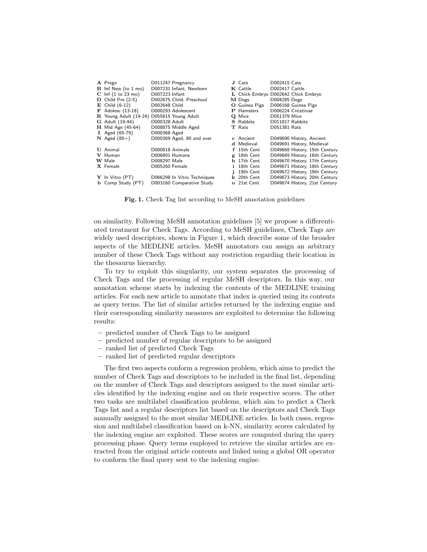| A Pregn                                   |                 | D011247 Pregnancy           |    | J Cats                              | D002415 Cats    |                               |
|-------------------------------------------|-----------------|-----------------------------|----|-------------------------------------|-----------------|-------------------------------|
| <b>B</b> Inf New (to 1 mo)                |                 | D007231 Infant, Newborn     |    | K Cattle                            | D002417 Cattle  |                               |
| $C$ Inf $(1 to 23 mo)$                    | D007223 Infant  |                             |    | L Chick Embryo D002642 Chick Embryo |                 |                               |
| $\bf{D}$ Child Pre (2-5)                  |                 | D002675 Child, Preschool    |    | M Dogs                              | D004285 Dogs    |                               |
| $\mathbf{E}$ Child (6-12)                 | D002648 Child   |                             |    | O Guinea Pigs                       |                 | D006168 Guinea Pigs           |
| $\mathbf F$ Adolesc (13-18)               |                 | D000293 Adolescent          |    | P Hamsters                          |                 | D006224 Cricetinae            |
| R Young Adult (19-24) D055815 Young Adult |                 |                             |    | Q Mice                              | D051379 Mice    |                               |
| <b>G</b> Adult (19-44)                    | D000328 Adult   |                             |    | <b>S</b> Rabbits                    | D011817 Rabbits |                               |
| $H$ Mid Age (45-64)                       |                 | D008875 Middle Aged         |    | <b>T</b> Rats                       | D051381 Rats    |                               |
| <b>I</b> Aged $(65-79)$                   | D000368 Aged    |                             |    |                                     |                 |                               |
| $N$ Aged (80+)                            |                 | D000369 Aged, 80 and over   |    | c Ancient                           |                 | D049690 History, Ancient      |
|                                           |                 |                             |    | d Medieval                          |                 | D049691 History, Medieval     |
| <b>U</b> Animal                           | D000818 Animals |                             |    | f 15th Cent                         |                 | D049668 History, 15th Century |
| V Human                                   | D006801 Humans  |                             |    | g 16th Cent                         |                 | D049669 History, 16th Century |
| W Male                                    | D008297 Male    |                             |    | h 17th Cent                         |                 | D049670 History, 17th Century |
| X Female                                  | D005260 Female  |                             | i. | 18th Cent                           |                 | D049671 History, 18th Century |
|                                           |                 |                             |    | 19th Cent                           |                 | D049672 History, 19th Century |
| Y In Vitro (PT)                           |                 | D066298 In Vitro Techniques |    | k 20th Cent                         |                 | D049673 History, 20th Century |
| <b>b</b> Comp Study (PT)                  |                 | D003160 Comparative Study   |    | o 21st Cent                         |                 | D049674 History, 21st Century |

Fig. 1. Check Tag list according to MeSH annotation guidelines

on similarity. Following MeSH annotation guidelines [5] we propose a differentiated treatment for Check Tags. According to MeSH guidelines, Check Tags are widely used descriptors, shown in Figure 1, which describe some of the broader aspects of the MEDLINE articles. MeSH annotators can assign an arbitrary number of these Check Tags without any restriction regarding their location in the thesaurus hierarchy.

To try to exploit this singularity, our system separates the processing of Check Tags and the processing of regular MeSH descriptors. In this way, our annotation scheme starts by indexing the contents of the MEDLINE training articles. For each new article to annotate that index is queried using its contents as query terms. The list of similar articles returned by the indexing engine and their corresponding similarity measures are exploited to determine the following results:

- predicted number of Check Tags to be assigned
- predicted number of regular descriptors to be assigned
- ranked list of predicted Check Tags
- ranked list of predicted regular descriptors

The first two aspects conform a regression problem, which aims to predict the number of Check Tags and descriptors to be included in the final list, depending on the number of Check Tags and descriptors assigned to the most similar articles identified by the indexing engine and on their respective scores. The other two tasks are multilabel classification problems, which aim to predict a Check Tags list and a regular descriptors list based on the descriptors and Check Tags manually assigned to the most similar MEDLINE articles. In both cases, regression and multilabel classification based on k-NN, similarity scores calculated by the indexing engine are exploited. These scores are computed during the query processing phase. Query terms employed to retrieve the similar articles are extracted from the original article contents and linked using a global OR operator to conform the final query sent to the indexing engine.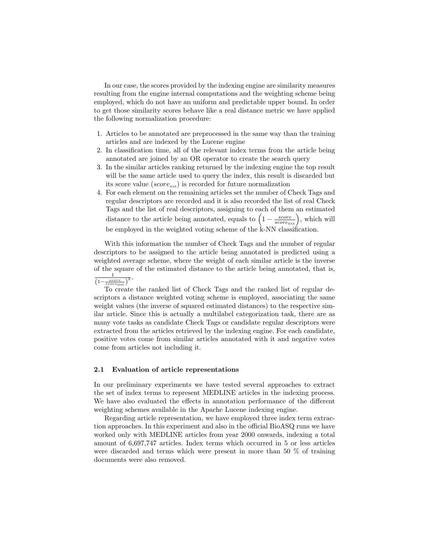In our case, the scores provided by the indexing engine are similarity measures resulting from the engine internal computations and the weighting scheme being employed, which do not have an uniform and predictable upper bound. In order to get those similarity scores behave like a real distance metric we have applied the following normalization procedure:

- 1. Articles to be annotated are preprocessed in the same way than the training articles and are indexed by the Lucene engine
- 2. In classification time, all of the relevant index terms from the article being annotated are joined by an OR operator to create the search query
- 3. In the similar articles ranking returned by the indexing engine the top result will be the same article used to query the index, this result is discarded but its score value ( $score_{\text{max}}$ ) is recorded for future normalization
- 4. For each element on the remaining articles set the number of Check Tags and regular descriptors are recorded and it is also recorded the list of real Check Tags and the list of real descriptors, assigning to each of them an estimated distance to the article being annotated, equals to  $\left(1 - \frac{score}{score_{\text{MAX}}}\right)$ , which will be employed in the weighted voting scheme of the k-NN classification.

With this information the number of Check Tags and the number of regular descriptors to be assigned to the article being annotated is predicted using a weighted average scheme, where the weight of each similar article is the inverse of the square of the estimated distance to the article being annotated, that is, 1

$$
\frac{1}{\left(1-\frac{score}{score_{MAX}}\right)^2}.
$$

To create the ranked list of Check Tags and the ranked list of regular descriptors a distance weighted voting scheme is employed, associating the same weight values (the inverse of squared estimated distances) to the respective similar article. Since this is actually a multilabel categorization task, there are as many vote tasks as candidate Check Tags or candidate regular descriptors were extracted from the articles retrieved by the indexing engine. For each candidate, positive votes come from similar articles annotated with it and negative votes come from articles not including it.

#### 2.1 Evaluation of article representations

In our preliminary experiments we have tested several approaches to extract the set of index terms to represent MEDLINE articles in the indexing process. We have also evaluated the effects in annotation performance of the different weighting schemes available in the Apache Lucene indexing engine.

Regarding article representation, we have employed three index term extraction approaches. In this experiment and also in the official BioASQ runs we have worked only with MEDLINE articles from year 2000 onwards, indexing a total amount of 6,697,747 articles. Index terms which occurred in 5 or less articles were discarded and terms which were present in more than 50 % of training documents were also removed.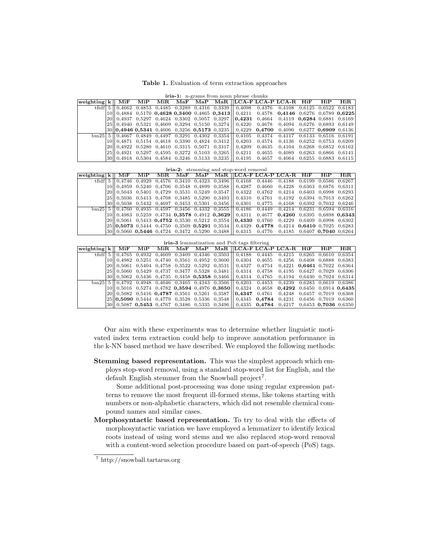Table 1. Evaluation of term extraction approaches

|                         | <b>iria-1:</b> n-grams from noun phrase chunks |     |     |      |     |  |  |                                                                                            |        |                                                                                                               |                      |                      |  |  |  |
|-------------------------|------------------------------------------------|-----|-----|------|-----|--|--|--------------------------------------------------------------------------------------------|--------|---------------------------------------------------------------------------------------------------------------|----------------------|----------------------|--|--|--|
| weighting $k \parallel$ |                                                | MiF | MiP | MiR. | MaF |  |  | MaP MaR LCA-F LCA-P LCA-R                                                                  | HiF    | HiP                                                                                                           | HiR                  |                      |  |  |  |
|                         |                                                |     |     |      |     |  |  |                                                                                            |        | tfidf $ 5 $ 0.4662 0.4853 0.4485 0.3289 0.4316 0.3339 0.4098 0.4376 0.4108 0.6125 0.6522 0.6183               |                      |                      |  |  |  |
|                         |                                                |     |     |      |     |  |  |                                                                                            |        | $10  0.4884$ 0.5170 0.4628 0.3400 0.4865 0.3413   0.4211 0.4578 0.4146 0.6276 0.6789 0.6225                   |                      |                      |  |  |  |
|                         |                                                |     |     |      |     |  |  | $20\parallel 0.4937$ $0.5297$ $0.4624$ $0.3302$ $0.5057$ $0.3297\parallel 0.4231$ $0.4664$ |        | $0.4119$ $0.6284$ $0.6881$ $0.6169$                                                                           |                      |                      |  |  |  |
|                         |                                                |     |     |      |     |  |  | 25   0.4940 0.5321 0.4609 0.3294 0.5150 0.3274   0.4220                                    |        | 0.4678 0.4094 0.6276 0.6893 0.6149                                                                            |                      |                      |  |  |  |
|                         |                                                |     |     |      |     |  |  |                                                                                            |        | $30  0,49460,53410,46060,32560,51730,3235  0,42290,47000,40900,62770,69090,6136$                              |                      |                      |  |  |  |
| bm 25                   |                                                |     |     |      |     |  |  |                                                                                            |        | $5 \parallel 0.4667$ 0.4849 0.4497 0.3291 0.4302 0.3354 $\parallel$ 0.4105 0.4374 0.4117 0.6133 0.6516 0.6191 |                      |                      |  |  |  |
|                         |                                                |     |     |      |     |  |  |                                                                                            | 0.4574 | 0.4136                                                                                                        | 0.6252 0.6753 0.6209 |                      |  |  |  |
|                         |                                                |     |     |      |     |  |  | 20   0.4922 0.5280 0.4610 0.3315 0.5071 0.3317   0.4209                                    | 0,4635 | 0.4104                                                                                                        |                      | 0.6268 0.6852 0.6162 |  |  |  |
|                         |                                                |     |     |      |     |  |  | 25   0.4921 0.5297 0.4595 0.3272 0.5103 0.3265   0.4211                                    | 0,4655 | 0.4089                                                                                                        |                      | 0.6263 0.6866 0.6141 |  |  |  |
|                         |                                                |     |     |      |     |  |  |                                                                                            | 0.4657 | 0.4064 0.6255 0.6883 0.6115                                                                                   |                      |                      |  |  |  |

|                    |     |     |                |  | <b>iria-2:</b> stemming and stop-word removal                                                                            |        |                                                                                                                                                                                                                                                                                                                     |     |     |      |
|--------------------|-----|-----|----------------|--|--------------------------------------------------------------------------------------------------------------------------|--------|---------------------------------------------------------------------------------------------------------------------------------------------------------------------------------------------------------------------------------------------------------------------------------------------------------------------|-----|-----|------|
| weighting $k \mid$ | MiF | MiP | $\mathbf{MiR}$ |  |                                                                                                                          |        | MaF MaP MaR LCA-F LCA-P LCA-R                                                                                                                                                                                                                                                                                       | HiF | HiP | HiR. |
|                    |     |     |                |  | tfidf $\begin{bmatrix} 5 \end{bmatrix}$ 0.4746 0.4929 0.4576 0.3410 0.4323 0.3496 $\begin{bmatrix} 0.4168 \end{bmatrix}$ | 0.4446 | 0.4188 0.6199 0.6586 0.6267                                                                                                                                                                                                                                                                                         |     |     |      |
|                    |     |     |                |  |                                                                                                                          |        | $10  0.4959 \t0.5240 \t0.4706 \t0.3548 \t0.4899 \t0.3588   0.4287 \t0.4660 \t0.4228 \t0.6363 \t0.6876 \t0.6311$                                                                                                                                                                                                     |     |     |      |
|                    |     |     |                |  |                                                                                                                          |        | $20\parallel 0.5043$ $0.5401$ $0.4729$ $0.3531$ $0.5249$ $0.3547\parallel 0.4322$ $0.4762$ $0.4214$ $0.6403$ $0.6998$ $0.6293$                                                                                                                                                                                      |     |     |      |
|                    |     |     |                |  |                                                                                                                          |        | $25  0,5036$ 0.5413 0.4708 0.3485 0.5290 0.3493    0.4310 0.4761 0.4192 0.6394 0.7013 0.6262                                                                                                                                                                                                                        |     |     |      |
|                    |     |     |                |  |                                                                                                                          |        | 30 0.5038 0.5432 0.4697 0.3453 0.5301 0.3456 0.4301 0.4775 0.4168 0.6392 0.7032 0.6246                                                                                                                                                                                                                              |     |     |      |
|                    |     |     |                |  |                                                                                                                          |        | $\frac{1}{2}$ $\frac{1}{2}$ $\frac{1}{2}$ $\frac{1}{2}$ $\frac{1}{2}$ $\frac{1}{2}$ $\frac{1}{2}$ $\frac{1}{2}$ $\frac{1}{2}$ $\frac{1}{2}$ $\frac{1}{2}$ $\frac{1}{2}$ $\frac{1}{2}$ $\frac{1}{2}$ $\frac{1}{2}$ $\frac{1}{2}$ $\frac{1}{2}$ $\frac{1}{2}$ $\frac{1}{2}$ $\frac{1}{2}$ $\frac{1}{2}$ $\frac{1}{2}$ |     |     |      |
|                    |     |     |                |  |                                                                                                                          |        | $10  0.4983 \t0.5259 \t0.4734 \t0.3578 \t0.4912 \t0.3629   0.4311 \t0.4677 \t0.4260 \t0.6395 \t0.6898 \t0.6343$                                                                                                                                                                                                     |     |     |      |
|                    |     |     |                |  |                                                                                                                          |        | $20 \parallel 0.5061$ 0.5413 0.4752 0.3530 0.5212 0.3554 $  $ 0.4330 0.4760 0.4229 0.6409 0.6998 0.6302                                                                                                                                                                                                             |     |     |      |
|                    |     |     |                |  |                                                                                                                          |        | $25  0,5073$ 0.5444 0.4750 0.3509 0.5291 0.3534 0.4329 0.4778 0.4214 0.6410 0.7025 0.6283                                                                                                                                                                                                                           |     |     |      |
|                    |     |     |                |  |                                                                                                                          |        | $30\parallel 0.5060$ $0.5446$ $0.4724$ $0.3472$ $0.5290$ $0.3488$   $0.4315$ $0.4776$ $0.4185$ $0.6407$ $0.7040$ $0.6264$                                                                                                                                                                                           |     |     |      |

|                     | <b>iria-3</b> lemmatization and PoS tags filtering |     |               |      |                        |                |                                                 |                                                                         |        |                                                                                          |     |                        |     |  |  |
|---------------------|----------------------------------------------------|-----|---------------|------|------------------------|----------------|-------------------------------------------------|-------------------------------------------------------------------------|--------|------------------------------------------------------------------------------------------|-----|------------------------|-----|--|--|
| weighting k         |                                                    | MiF | MiP           | MiR. | $\bf{M} \bf{a} \bf{F}$ | $\mathbf{MaP}$ |                                                 |                                                                         |        | MaR   LCA-F LCA-P LCA-R                                                                  | HiF | HiP                    | HiR |  |  |
| $tfidf \mid 5 \mid$ |                                                    |     | 0.4765 0.4932 |      |                        |                |                                                 | $0,4609$ $0,3409$ $0,4346$ $0,3503$   $0,4188$ $0,4445$                 |        | 0.4215                                                                                   |     | 0.6265 0.6610 0.6354   |     |  |  |
|                     |                                                    |     |               |      |                        |                |                                                 | $0.4982$ $0.5251$ $0.4740$ $0.3561$ $0.4952$ $0.3600$   $0.4304$        | 0.4655 | 0.4256                                                                                   |     | 0.6408 0.6888 0.6383   |     |  |  |
|                     | $20$                                               |     |               |      |                        |                |                                                 |                                                                         | 0.4754 | $0.4221$ $0.6461$ $0.7022$ $0.6364$                                                      |     |                        |     |  |  |
|                     |                                                    |     |               |      |                        |                | 25  0.5060 0.5429 0.4737 0.3477 0.5328 0.3481   | 0.4314                                                                  | 0.4758 | 0.4195 0.6427 0.7029 0.6306                                                              |     |                        |     |  |  |
|                     |                                                    |     |               |      |                        |                |                                                 | $30  0,5062$ 0.5436 0.4735 0.3458 <b>0.5358</b> 0.3466   0.4314         | 0.4765 | 0.4194 0.6430 0.7024 0.6314                                                              |     |                        |     |  |  |
|                     |                                                    |     |               |      |                        |                |                                                 | $\text{bm25}$   5   0,4792 0,4948 0,4646 0,3465 0,4343 0,3566   0,4203  | 0,4453 | 0.4239 0.6283 0.6619 0.6386                                                              |     |                        |     |  |  |
|                     |                                                    |     |               |      |                        |                |                                                 | $0.5016$ $0.5274$ $0.4782$ $0.3594$ $0.4976$ $0.3650$ 0.4324            |        | $0.4658$ $0.4292$ $0.6450$ $0.6914$ $0.6435$                                             |     |                        |     |  |  |
|                     |                                                    |     |               |      |                        |                | $20  0.5082$ 0.5416 0.4787 0.3561 0.5261 0.3587 | $\mid$ 0.4347 0.4761                                                    |        | 0.4248                                                                                   |     | 0.6457 0.7019 0.6368   |     |  |  |
|                     |                                                    |     |               |      |                        |                |                                                 | $25  0,5090$ 0.5444 0.4779 0.3528 0.5336 0.3548    0.4345 0.4784 0.4231 |        |                                                                                          |     | 0.6456 0.7019 0.6360   |     |  |  |
|                     |                                                    |     |               |      |                        |                |                                                 |                                                                         |        | $30\parallel 0.5087$ 0.5453 0.4767 0.3486 0.5335 0.3496 $\parallel$ 0.4335 0.4784 0.4217 |     | $0.6453$ 0.7036 0.6350 |     |  |  |

Our aim with these experiments was to determine whether linguistic motivated index term extraction could help to improve annotation performance in the k-NN based method we have described. We employed the following methods:

Stemming based representation. This was the simplest approach which employs stop-word removal, using a standard stop-word list for English, and the default English stemmer from the Snowball project<sup>7</sup>.

Some additional post-processing was done using regular expression patterns to remove the most frequent ill-formed stems, like tokens starting with numbers or non-alphabetic characters, which did not resemble chemical compound names and similar cases.

Morphosyntactic based representation. To try to deal with the effects of morphosyntactic variation we have employed a lemmatizer to identify lexical roots instead of using word stems and we also replaced stop-word removal with a content-word selection procedure based on part-of-speech (PoS) tags.

<sup>7</sup> http://snowball.tartarus.org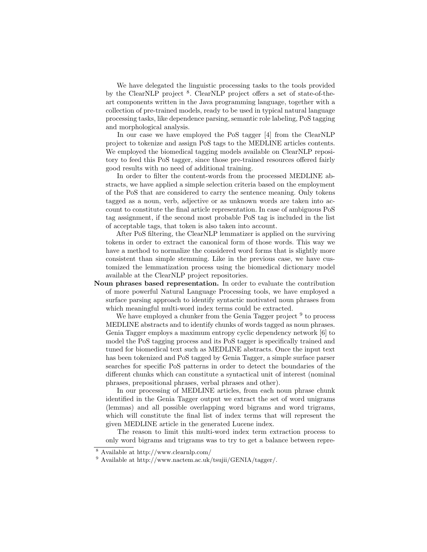We have delegated the linguistic processing tasks to the tools provided by the ClearNLP project <sup>8</sup>. ClearNLP project offers a set of state-of-theart components written in the Java programming language, together with a collection of pre-trained models, ready to be used in typical natural language processing tasks, like dependence parsing, semantic role labeling, PoS tagging and morphological analysis.

In our case we have employed the PoS tagger [4] from the ClearNLP project to tokenize and assign PoS tags to the MEDLINE articles contents. We employed the biomedical tagging models available on ClearNLP repository to feed this PoS tagger, since those pre-trained resources offered fairly good results with no need of additional training.

In order to filter the content-words from the processed MEDLINE abstracts, we have applied a simple selection criteria based on the employment of the PoS that are considered to carry the sentence meaning. Only tokens tagged as a noun, verb, adjective or as unknown words are taken into account to constitute the final article representation. In case of ambiguous PoS tag assignment, if the second most probable PoS tag is included in the list of acceptable tags, that token is also taken into account.

After PoS filtering, the ClearNLP lemmatizer is applied on the surviving tokens in order to extract the canonical form of those words. This way we have a method to normalize the considered word forms that is slightly more consistent than simple stemming. Like in the previous case, we have customized the lemmatization process using the biomedical dictionary model available at the ClearNLP project repositories.

Noun phrases based representation. In order to evaluate the contribution of more powerful Natural Language Processing tools, we have employed a surface parsing approach to identify syntactic motivated noun phrases from which meaningful multi-word index terms could be extracted.

We have employed a chunker from the Genia Tagger project <sup>9</sup> to process MEDLINE abstracts and to identify chunks of words tagged as noun phrases. Genia Tagger employs a maximum entropy cyclic dependency network [6] to model the PoS tagging process and its PoS tagger is specifically trained and tuned for biomedical text such as MEDLINE abstracts. Once the input text has been tokenized and PoS tagged by Genia Tagger, a simple surface parser searches for specific PoS patterns in order to detect the boundaries of the different chunks which can constitute a syntactical unit of interest (nominal phrases, prepositional phrases, verbal phrases and other).

In our processing of MEDLINE articles, from each noun phrase chunk identified in the Genia Tagger output we extract the set of word unigrams (lemmas) and all possible overlapping word bigrams and word trigrams, which will constitute the final list of index terms that will represent the given MEDLINE article in the generated Lucene index.

The reason to limit this multi-word index term extraction process to only word bigrams and trigrams was to try to get a balance between repre-

<sup>8</sup> Available at http://www.clearnlp.com/

 $^9$  Available at http://www.nactem.ac.uk/tsujii/GENIA/tagger/.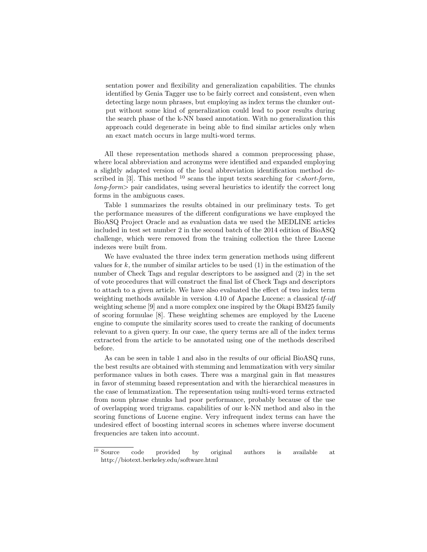sentation power and flexibility and generalization capabilities. The chunks identified by Genia Tagger use to be fairly correct and consistent, even when detecting large noun phrases, but employing as index terms the chunker output without some kind of generalization could lead to poor results during the search phase of the k-NN based annotation. With no generalization this approach could degenerate in being able to find similar articles only when an exact match occurs in large multi-word terms.

All these representation methods shared a common preprocessing phase, where local abbreviation and acronyms were identified and expanded employing a slightly adapted version of the local abbreviation identification method described in [3]. This method <sup>10</sup> scans the input texts searching for  $\lt short-form$ .  $\langle \text{long-form} \rangle$  pair candidates, using several heuristics to identify the correct long forms in the ambiguous cases.

Table 1 summarizes the results obtained in our preliminary tests. To get the performance measures of the different configurations we have employed the BioASQ Project Oracle and as evaluation data we used the MEDLINE articles included in test set number 2 in the second batch of the 2014 edition of BioASQ challenge, which were removed from the training collection the three Lucene indexes were built from.

We have evaluated the three index term generation methods using different values for  $k$ , the number of similar articles to be used  $(1)$  in the estimation of the number of Check Tags and regular descriptors to be assigned and (2) in the set of vote procedures that will construct the final list of Check Tags and descriptors to attach to a given article. We have also evaluated the effect of two index term weighting methods available in version 4.10 of Apache Lucene: a classical tf-idf weighting scheme [9] and a more complex one inspired by the Okapi BM25 family of scoring formulae [8]. These weighting schemes are employed by the Lucene engine to compute the similarity scores used to create the ranking of documents relevant to a given query. In our case, the query terms are all of the index terms extracted from the article to be annotated using one of the methods described before.

As can be seen in table 1 and also in the results of our official BioASQ runs, the best results are obtained with stemming and lemmatization with very similar performance values in both cases. There was a marginal gain in flat measures in favor of stemming based representation and with the hierarchical measures in the case of lemmatization. The representation using multi-word terms extracted from noun phrase chunks had poor performance, probably because of the use of overlapping word trigrams. capabilities of our k-NN method and also in the scoring functions of Lucene engine. Very infrequent index terms can have the undesired effect of boosting internal scores in schemes where inverse document frequencies are taken into account.

 $\overline{10}$  Source code provided by original authors is available at http://biotext.berkeley.edu/software.html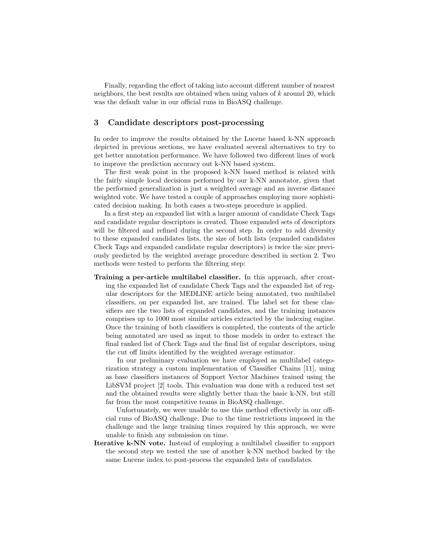Finally, regarding the effect of taking into account different number of nearest neighbors, the best results are obtained when using values of  $k$  around 20, which was the default value in our official runs in BioASQ challenge.

# 3 Candidate descriptors post-processing

In order to improve the results obtained by the Lucene based k-NN approach depicted in previous sections, we have evaluated several alternatives to try to get better annotation performance. We have followed two different lines of work to improve the prediction accuracy out k-NN based system.

The first weak point in the proposed k-NN based method is related with the fairly simple local decisions performed by our k-NN annotator, given that the performed generalization is just a weighted average and an inverse distance weighted vote. We have tested a couple of approaches employing more sophisticated decision making. In both cases a two-steps procedure is applied.

In a first step an expanded list with a larger amount of candidate Check Tags and candidate regular descriptors is created. Those expanded sets of descriptors will be filtered and refined during the second step. In order to add diversity to these expanded candidates lists, the size of both lists (expanded candidates Check Tags and expanded candidate regular descriptors) is twice the size previously predicted by the weighted average procedure described in section 2. Two methods were tested to perform the filtering step:

Training a per-article multilabel classifier. In this approach, after creating the expanded list of candidate Check Tags and the expanded list of regular descriptors for the MEDLINE article being annotated, two multilabel classifiers, on per expanded list, are trained. The label set for these classifiers are the two lists of expanded candidates, and the training instances comprises up to 1000 most similar articles extracted by the indexing engine. Once the training of both classifiers is completed, the contents of the article being annotated are used as input to those models in order to extract the final ranked list of Check Tags and the final list of regular descriptors, using the cut off limits identified by the weighted average estimator.

In our preliminary evaluation we have employed as multilabel categorization strategy a custom implementation of Classifier Chains [11], using as base classifiers instances of Support Vector Machines trained using the LibSVM project [2] tools. This evaluation was done with a reduced test set and the obtained results were slightly better than the basic k-NN, but still far from the most competitive teams in BioASQ challenge.

Unfortunately, we were unable to use this method effectively in our official runs of BioASQ challenge. Due to the time restrictions imposed in the challenge and the large training times required by this approach, we were unable to finish any submission on time.

Iterative k-NN vote. Instead of employing a multilabel classifier to support the second step we tested the use of another k-NN method backed by the same Lucene index to post-process the expanded lists of candidates.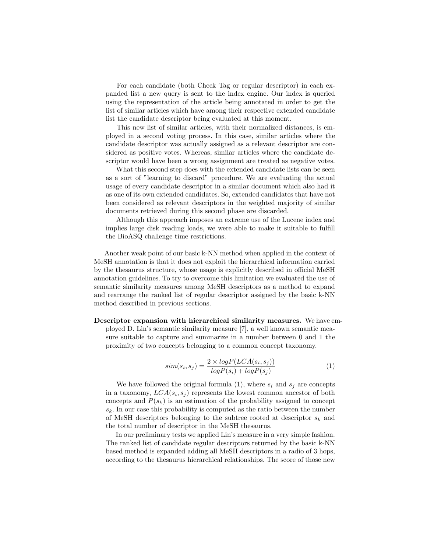For each candidate (both Check Tag or regular descriptor) in each expanded list a new query is sent to the index engine. Our index is queried using the representation of the article being annotated in order to get the list of similar articles which have among their respective extended candidate list the candidate descriptor being evaluated at this moment.

This new list of similar articles, with their normalized distances, is employed in a second voting process. In this case, similar articles where the candidate descriptor was actually assigned as a relevant descriptor are considered as positive votes. Whereas, similar articles where the candidate descriptor would have been a wrong assignment are treated as negative votes.

What this second step does with the extended candidate lists can be seen as a sort of "learning to discard" procedure. We are evaluating the actual usage of every candidate descriptor in a similar document which also had it as one of its own extended candidates. So, extended candidates that have not been considered as relevant descriptors in the weighted majority of similar documents retrieved during this second phase are discarded.

Although this approach imposes an extreme use of the Lucene index and implies large disk reading loads, we were able to make it suitable to fulfill the BioASQ challenge time restrictions.

Another weak point of our basic k-NN method when applied in the context of MeSH annotation is that it does not exploit the hierarchical information carried by the thesaurus structure, whose usage is explicitly described in official MeSH annotation guidelines. To try to overcome this limitation we evaluated the use of semantic similarity measures among MeSH descriptors as a method to expand and rearrange the ranked list of regular descriptor assigned by the basic k-NN method described in previous sections.

Descriptor expansion with hierarchical similarity measures. We have employed D. Lin's semantic similarity measure [7], a well known semantic measure suitable to capture and summarize in a number between 0 and 1 the proximity of two concepts belonging to a common concept taxonomy.

$$
sim(s_i, s_j) = \frac{2 \times logP(LCA(s_i, s_j))}{logP(s_i) + logP(s_j)}
$$
\n<sup>(1)</sup>

We have followed the original formula  $(1)$ , where  $s_i$  and  $s_j$  are concepts in a taxonomy,  $LCA(s_i, s_j)$  represents the lowest common ancestor of both concepts and  $P(s_k)$  is an estimation of the probability assigned to concept  $s_k$ . In our case this probability is computed as the ratio between the number of MeSH descriptors belonging to the subtree rooted at descriptor  $s_k$  and the total number of descriptor in the MeSH thesaurus.

In our preliminary tests we applied Lin's measure in a very simple fashion. The ranked list of candidate regular descriptors returned by the basic k-NN based method is expanded adding all MeSH descriptors in a radio of 3 hops, according to the thesaurus hierarchical relationships. The score of those new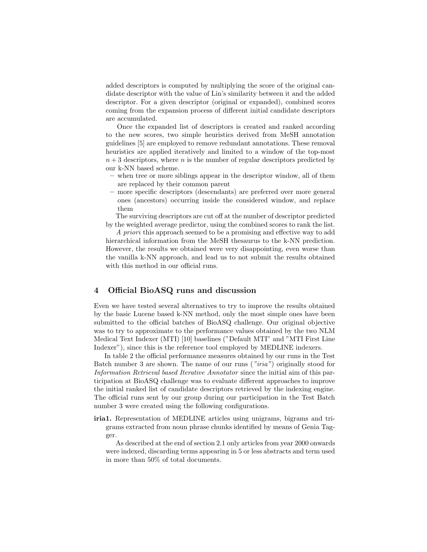added descriptors is computed by multiplying the score of the original candidate descriptor with the value of Lin's similarity between it and the added descriptor. For a given descriptor (original or expanded), combined scores coming from the expansion process of different initial candidate descriptors are accumulated.

Once the expanded list of descriptors is created and ranked according to the new scores, two simple heuristics derived from MeSH annotation guidelines [5] are employed to remove redundant annotations. These removal heuristics are applied iteratively and limited to a window of the top-most  $n + 3$  descriptors, where n is the number of regular descriptors predicted by our k-NN based scheme.

- when tree or more siblings appear in the descriptor window, all of them are replaced by their common parent
- more specific descriptors (descendants) are preferred over more general ones (ancestors) occurring inside the considered window, and replace them

The surviving descriptors are cut off at the number of descriptor predicted by the weighted average predictor, using the combined scores to rank the list.

A priori this approach seemed to be a promising and effective way to add hierarchical information from the MeSH thesaurus to the k-NN prediction. However, the results we obtained were very disappointing, even worse than the vanilla k-NN approach, and lead us to not submit the results obtained with this method in our official runs.

### 4 Official BioASQ runs and discussion

Even we have tested several alternatives to try to improve the results obtained by the basic Lucene based k-NN method, only the most simple ones have been submitted to the official batches of BioASQ challenge. Our original objective was to try to approximate to the performance values obtained by the two NLM Medical Text Indexer (MTI) [10] baselines ("Default MTI" and "MTI First Line Indexer"), since this is the reference tool employed by MEDLINE indexers.

In table 2 the official performance measures obtained by our runs in the Test Batch number 3 are shown. The name of our runs ("iria") originally stood for Information Retrieval based Iterative Annotator since the initial aim of this participation at BioASQ challenge was to evaluate different approaches to improve the initial ranked list of candidate descriptors retrieved by the indexing engine. The official runs sent by our group during our participation in the Test Batch number 3 were created using the following configurations.

iria1. Representation of MEDLINE articles using unigrams, bigrams and trigrams extracted from noun phrase chunks identified by means of Genia Tagger.

As described at the end of section 2.1 only articles from year 2000 onwards were indexed, discarding terms appearing in 5 or less abstracts and term used in more than 50% of total documents.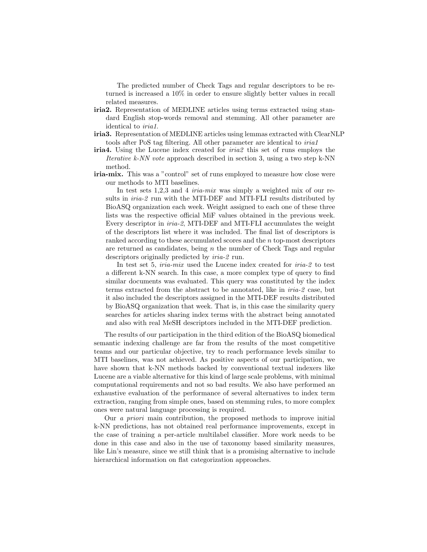The predicted number of Check Tags and regular descriptors to be returned is increased a 10% in order to ensure slightly better values in recall related measures.

- iria2. Representation of MEDLINE articles using terms extracted using standard English stop-words removal and stemming. All other parameter are identical to iria1.
- iria3. Representation of MEDLINE articles using lemmas extracted with ClearNLP tools after PoS tag filtering. All other parameter are identical to iria1
- iria4. Using the Lucene index created for iria2 this set of runs employs the Iterative k-NN vote approach described in section 3, using a two step k-NN method.
- iria-mix. This was a "control" set of runs employed to measure how close were our methods to MTI baselines.

In test sets 1,2,3 and 4 *iria-mix* was simply a weighted mix of our results in  $iria-2$  run with the MTI-DEF and MTI-FLI results distributed by BioASQ organization each week. Weight assigned to each one of these three lists was the respective official MiF values obtained in the previous week. Every descriptor in iria-2, MTI-DEF and MTI-FLI accumulates the weight of the descriptors list where it was included. The final list of descriptors is ranked according to these accumulated scores and the n top-most descriptors are returned as candidates, being  $n$  the number of Check Tags and regular descriptors originally predicted by iria-2 run.

In test set 5, *iria-mix* used the Lucene index created for *iria-2* to test a different k-NN search. In this case, a more complex type of query to find similar documents was evaluated. This query was constituted by the index terms extracted from the abstract to be annotated, like in iria-2 case, but it also included the descriptors assigned in the MTI-DEF results distributed by BioASQ organization that week. That is, in this case the similarity query searches for articles sharing index terms with the abstract being annotated and also with real MeSH descriptors included in the MTI-DEF prediction.

The results of our participation in the third edition of the BioASQ biomedical semantic indexing challenge are far from the results of the most competitive teams and our particular objective, try to reach performance levels similar to MTI baselines, was not achieved. As positive aspects of our participation, we have shown that k-NN methods backed by conventional textual indexers like Lucene are a viable alternative for this kind of large scale problems, with minimal computational requirements and not so bad results. We also have performed an exhaustive evaluation of the performance of several alternatives to index term extraction, ranging from simple ones, based on stemming rules, to more complex ones were natural language processing is required.

Our a priori main contribution, the proposed methods to improve initial k-NN predictions, has not obtained real performance improvements, except in the case of training a per-article multilabel classifier. More work needs to be done in this case and also in the use of taxonomy based similarity measures, like Lin's measure, since we still think that is a promising alternative to include hierarchical information on flat categorization approaches.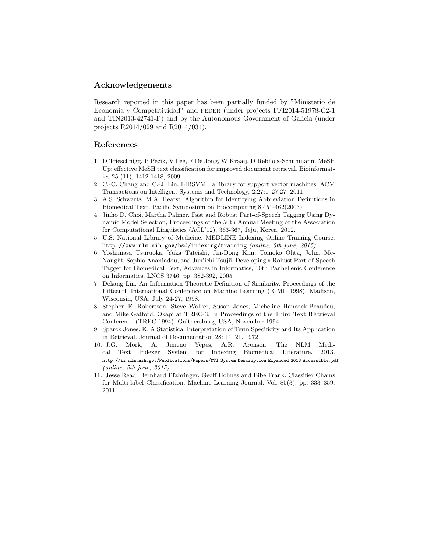### Acknowledgements

Research reported in this paper has been partially funded by "Ministerio de Economía y Competitividad" and FEDER (under projects FFI2014-51978-C2-1 and TIN2013-42741-P) and by the Autonomous Government of Galicia (under projects R2014/029 and R2014/034).

#### References

- 1. D Trieschnigg, P Pezik, V Lee, F De Jong, W Kraaij, D Rebholz-Schuhmann. MeSH Up: effective MeSH text classification for improved document retrieval. Bioinformatics 25 (11), 1412-1418, 2009.
- 2. C.-C. Chang and C.-J. Lin. LIBSVM : a library for support vector machines. ACM Transactions on Intelligent Systems and Technology, 2:27:1–27:27, 2011
- 3. A.S. Schwartz, M.A. Hearst. Algorithm for Identifying Abbreviation Definitions in Biomedical Text. Pacific Symposium on Biocomputing 8:451-462(2003)
- 4. Jinho D. Choi, Martha Palmer. Fast and Robust Part-of-Speech Tagging Using Dynamic Model Selection, Proceedings of the 50th Annual Meeting of the Association for Computational Linguistics (ACL'12), 363-367, Jeju, Korea, 2012.
- 5. U.S. National Library of Medicine. MEDLINE Indexing Online Training Course. http://www.nlm.nih.gov/bsd/indexing/training (online, 5th june, 2015)
- 6. Yoshimasa Tsuruoka, Yuka Tateishi, Jin-Dong Kim, Tomoko Ohta, John. Mc-Naught, Sophia Ananiadou, and Jun'ichi Tsujii. Developing a Robust Part-of-Speech Tagger for Biomedical Text, Advances in Informatics, 10th Panhellenic Conference on Informatics, LNCS 3746, pp. 382-392, 2005
- 7. Dekang Lin. An Information-Theoretic Definition of Similarity. Proceedings of the Fifteenth International Conference on Machine Learning (ICML 1998), Madison, Wisconsin, USA, July 24-27, 1998.
- 8. Stephen E. Robertson, Steve Walker, Susan Jones, Micheline Hancock-Beaulieu, and Mike Gatford. Okapi at TREC-3. In Proceedings of the Third Text REtrieval Conference (TREC 1994). Gaithersburg, USA, November 1994.
- 9. Sparck Jones, K. A Statistical Interpretation of Term Specificity and Its Application in Retrieval. Journal of Documentation 28: 11–21. 1972
- 10. J.G. Mork, A. Jimeno Yepes, A.R. Aronson. The NLM Medical Text Indexer System for Indexing Biomedical Literature. 2013. http://ii.nlm.nih.gov/Publications/Papers/MTI System Description Expanded 2013 Accessible.pdf (online, 5th june, 2015)
- 11. Jesse Read, Bernhard Pfahringer, Geoff Holmes and Eibe Frank. Classifier Chains for Multi-label Classification. Machine Learning Journal. Vol. 85(3), pp. 333–359. 2011.